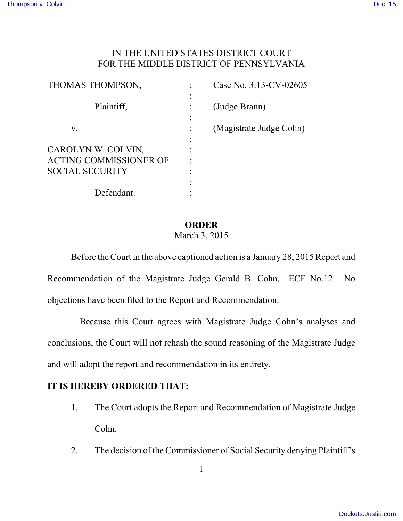## IN THE UNITED STATES DISTRICT COURT FOR THE MIDDLE DISTRICT OF PENNSYLVANIA

| THOMAS THOMPSON,                                                              | Case No. 3:13-CV-02605  |
|-------------------------------------------------------------------------------|-------------------------|
| Plaintiff,                                                                    | (Judge Brann)           |
| V.                                                                            | (Magistrate Judge Cohn) |
| CAROLYN W. COLVIN,<br><b>ACTING COMMISSIONER OF</b><br><b>SOCIAL SECURITY</b> |                         |
| Defendant.                                                                    |                         |

## **ORDER**

## March 3, 2015

Before the Court in the above captioned action is a January 28, 2015 Report and Recommendation of the Magistrate Judge Gerald B. Cohn. ECF No.12. No objections have been filed to the Report and Recommendation.

 Because this Court agrees with Magistrate Judge Cohn's analyses and conclusions, the Court will not rehash the sound reasoning of the Magistrate Judge and will adopt the report and recommendation in its entirety.

## **IT IS HEREBY ORDERED THAT:**

- 1. The Court adopts the Report and Recommendation of Magistrate Judge Cohn.
- 2. The decision of the Commissioner of Social Security denying Plaintiff's